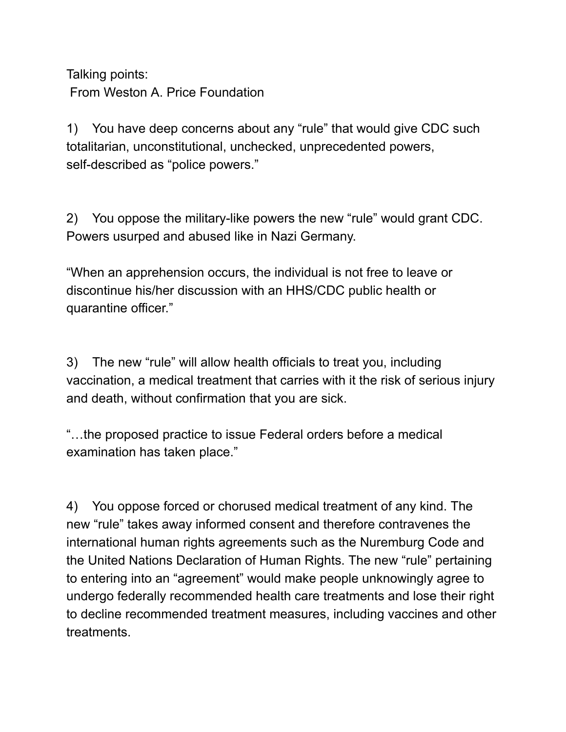Talking points: From Weston A. Price Foundation

1) You have deep concerns about any "rule" that would give CDC such totalitarian, unconstitutional, unchecked, unprecedented powers, self-described as "police powers."

2) You oppose the military-like powers the new "rule" would grant CDC. Powers usurped and abused like in Nazi Germany.

"When an apprehension occurs, the individual is not free to leave or discontinue his/her discussion with an HHS/CDC public health or quarantine officer."

3) The new "rule" will allow health officials to treat you, including vaccination, a medical treatment that carries with it the risk of serious injury and death, without confirmation that you are sick.

"…the proposed practice to issue Federal orders before a medical examination has taken place."

4) You oppose forced or chorused medical treatment of any kind. The new "rule" takes away informed consent and therefore contravenes the international human rights agreements such as the Nuremburg Code and the United Nations Declaration of Human Rights. The new "rule" pertaining to entering into an "agreement" would make people unknowingly agree to undergo federally recommended health care treatments and lose their right to decline recommended treatment measures, including vaccines and other treatments.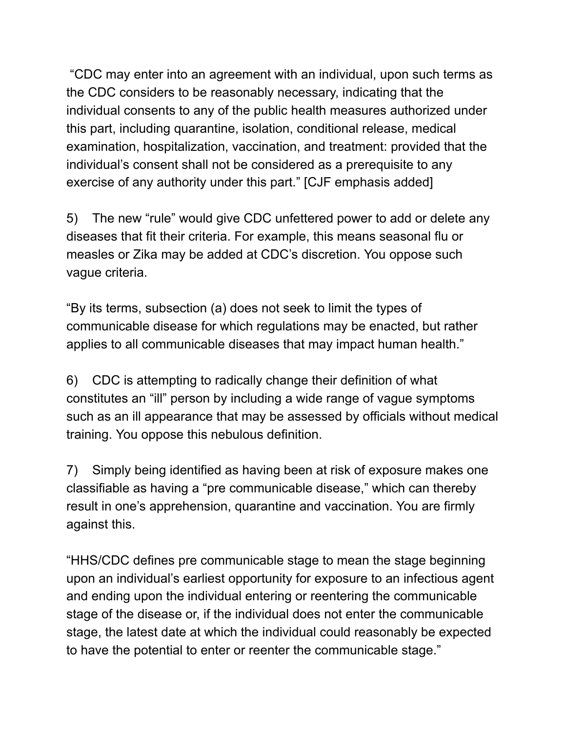"CDC may enter into an agreement with an individual, upon such terms as the CDC considers to be reasonably necessary, indicating that the individual consents to any of the public health measures authorized under this part, including quarantine, isolation, conditional release, medical examination, hospitalization, vaccination, and treatment: provided that the individual's consent shall not be considered as a prerequisite to any exercise of any authority under this part." [CJF emphasis added]

5) The new "rule" would give CDC unfettered power to add or delete any diseases that fit their criteria. For example, this means seasonal flu or measles or Zika may be added at CDC's discretion. You oppose such vague criteria.

"By its terms, subsection (a) does not seek to limit the types of communicable disease for which regulations may be enacted, but rather applies to all communicable diseases that may impact human health."

6) CDC is attempting to radically change their definition of what constitutes an "ill" person by including a wide range of vague symptoms such as an ill appearance that may be assessed by officials without medical training. You oppose this nebulous definition.

7) Simply being identified as having been at risk of exposure makes one classifiable as having a "pre communicable disease," which can thereby result in one's apprehension, quarantine and vaccination. You are firmly against this.

"HHS/CDC defines pre communicable stage to mean the stage beginning upon an individual's earliest opportunity for exposure to an infectious agent and ending upon the individual entering or reentering the communicable stage of the disease or, if the individual does not enter the communicable stage, the latest date at which the individual could reasonably be expected to have the potential to enter or reenter the communicable stage."